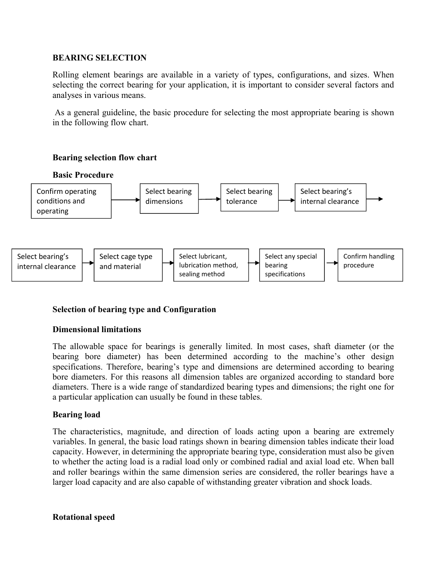## **BEARING SELECTION**

Rolling element bearings are available in a variety of types, configurations, and sizes. When selecting the correct bearing for your application, it is important to consider several factors and analyses in various means.

As a general guideline, the basic procedure for selecting the most appropriate bearing is shown in the following flow chart.

# **Bearing selection flow chart**



# **Selection of bearing type and Configuration**

## **Dimensional limitations**

The allowable space for bearings is generally limited. In most cases, shaft diameter (or the bearing bore diameter) has been determined according to the machine's other design specifications. Therefore, bearing's type and dimensions are determined according to bearing bore diameters. For this reasons all dimension tables are organized according to standard bore diameters. There is a wide range of standardized bearing types and dimensions; the right one for a particular application can usually be found in these tables.

## **Bearing load**

The characteristics, magnitude, and direction of loads acting upon a bearing are extremely variables. In general, the basic load ratings shown in bearing dimension tables indicate their load capacity. However, in determining the appropriate bearing type, consideration must also be given to whether the acting load is a radial load only or combined radial and axial load etc. When ball and roller bearings within the same dimension series are considered, the roller bearings have a larger load capacity and are also capable of withstanding greater vibration and shock loads.

## **Rotational speed**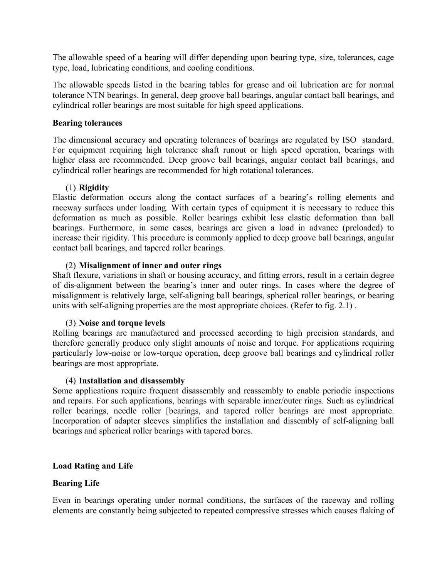The allowable speed of a bearing will differ depending upon bearing type, size, tolerances, cage type, load, lubricating conditions, and cooling conditions.

The allowable speeds listed in the bearing tables for grease and oil lubrication are for normal tolerance NTN bearings. In general, deep groove ball bearings, angular contact ball bearings, and cylindrical roller bearings are most suitable for high speed applications.

### **Bearing tolerances**

The dimensional accuracy and operating tolerances of bearings are regulated by ISO standard. For equipment requiring high tolerance shaft runout or high speed operation, bearings with higher class are recommended. Deep groove ball bearings, angular contact ball bearings, and cylindrical roller bearings are recommended for high rotational tolerances.

## (1) **Rigidity**

Elastic deformation occurs along the contact surfaces of a bearing's rolling elements and raceway surfaces under loading. With certain types of equipment it is necessary to reduce this deformation as much as possible. Roller bearings exhibit less elastic deformation than ball bearings. Furthermore, in some cases, bearings are given a load in advance (preloaded) to increase their rigidity. This procedure is commonly applied to deep groove ball bearings, angular contact ball bearings, and tapered roller bearings.

### (2) **Misalignment of inner and outer rings**

Shaft flexure, variations in shaft or housing accuracy, and fitting errors, result in a certain degree of dis-alignment between the bearing's inner and outer rings. In cases where the degree of misalignment is relatively large, self-aligning ball bearings, spherical roller bearings, or bearing units with self-aligning properties are the most appropriate choices. (Refer to fig. 2.1) .

## (3) **Noise and torque levels**

Rolling bearings are manufactured and processed according to high precision standards, and therefore generally produce only slight amounts of noise and torque. For applications requiring particularly low-noise or low-torque operation, deep groove ball bearings and cylindrical roller bearings are most appropriate.

#### (4) **Installation and disassembly**

Some applications require frequent disassembly and reassembly to enable periodic inspections and repairs. For such applications, bearings with separable inner/outer rings. Such as cylindrical roller bearings, needle roller [bearings, and tapered roller bearings are most appropriate. Incorporation of adapter sleeves simplifies the installation and dissembly of self-aligning ball bearings and spherical roller bearings with tapered bores.

## **Load Rating and Life**

## **Bearing Life**

Even in bearings operating under normal conditions, the surfaces of the raceway and rolling elements are constantly being subjected to repeated compressive stresses which causes flaking of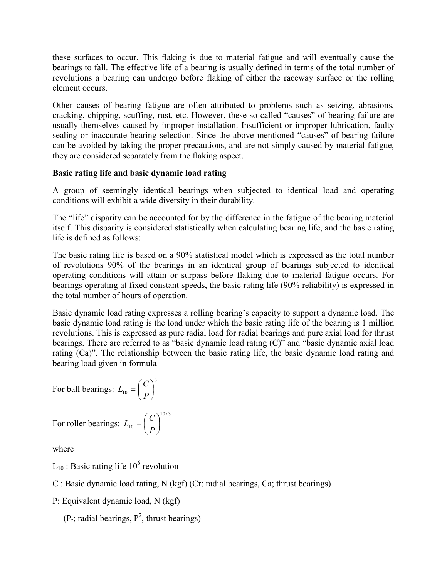these surfaces to occur. This flaking is due to material fatigue and will eventually cause the bearings to fall. The effective life of a bearing is usually defined in terms of the total number of revolutions a bearing can undergo before flaking of either the raceway surface or the rolling element occurs.

Other causes of bearing fatigue are often attributed to problems such as seizing, abrasions, cracking, chipping, scuffing, rust, etc. However, these so called "causes" of bearing failure are usually themselves caused by improper installation. Insufficient or improper lubrication, faulty sealing or inaccurate bearing selection. Since the above mentioned "causes" of bearing failure can be avoided by taking the proper precautions, and are not simply caused by material fatigue, they are considered separately from the flaking aspect.

# **Basic rating life and basic dynamic load rating**

A group of seemingly identical bearings when subjected to identical load and operating conditions will exhibit a wide diversity in their durability.

The "life" disparity can be accounted for by the difference in the fatigue of the bearing material itself. This disparity is considered statistically when calculating bearing life, and the basic rating life is defined as follows:

The basic rating life is based on a 90% statistical model which is expressed as the total number of revolutions 90% of the bearings in an identical group of bearings subjected to identical operating conditions will attain or surpass before flaking due to material fatigue occurs. For bearings operating at fixed constant speeds, the basic rating life (90% reliability) is expressed in the total number of hours of operation.

Basic dynamic load rating expresses a rolling bearing's capacity to support a dynamic load. The basic dynamic load rating is the load under which the basic rating life of the bearing is 1 million revolutions. This is expressed as pure radial load for radial bearings and pure axial load for thrust bearings. There are referred to as "basic dynamic load rating (C)" and "basic dynamic axial load rating (Ca)". The relationship between the basic rating life, the basic dynamic load rating and bearing load given in formula

For ball bearings: 
$$
L_{10} = \left(\frac{C}{P}\right)^3
$$
  
For roller bearings:  $L_{10} = \left(\frac{C}{P}\right)^{10/3}$ 

For roller bearings:  $L_{10} = \frac{1}{R}$ 

where

 $L_{10}$ : Basic rating life 10<sup>6</sup> revolution

C : Basic dynamic load rating, N (kgf) (Cr; radial bearings, Ca; thrust bearings)

P: Equivalent dynamic load, N (kgf)

 $(P_r;$  radial bearings,  $P^2$ , thrust bearings)

J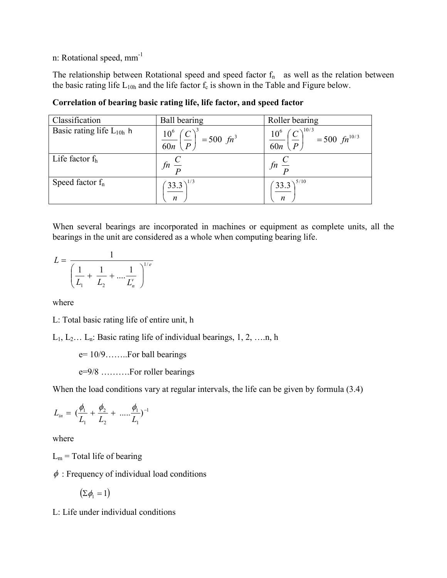n: Rotational speed, mm-1

The relationship between Rotational speed and speed factor  $f_n$  as well as the relation between the basic rating life  $L_{10h}$  and the life factor  $f_c$  is shown in the Table and Figure below.

| Classification                | Ball bearing                                                             | Roller bearing                                                                                |
|-------------------------------|--------------------------------------------------------------------------|-----------------------------------------------------------------------------------------------|
| Basic rating life $L_{10h}$ h | $\frac{10^6}{60n} \left(\frac{C}{P}\right)^3 = 500 \text{ } \text{fm}^3$ | $\left(\frac{10^6}{60n}\left(\frac{C}{P}\right)^{10/3}\right)^{10/3} = 500 \text{ fm}^{10/3}$ |
| Life factor $f_h$             | $fn \frac{C}{D}$                                                         | fn                                                                                            |
| Speed factor $f_n$            | $(33.3)^{1/3}$<br>$\mathfrak{n}$                                         | $(33.3)^{5/10}$<br>$\mathfrak{n}$                                                             |

**Correlation of bearing basic rating life, life factor, and speed factor** 

When several bearings are incorporated in machines or equipment as complete units, all the bearings in the unit are considered as a whole when computing bearing life.

$$
L = \frac{1}{\left(\frac{1}{L_1} + \frac{1}{L_2} + \dots + \frac{1}{L_n}\right)^{1/e}}
$$

where

L: Total basic rating life of entire unit, h

 $L_1, L_2... L_n$ : Basic rating life of individual bearings, 1, 2, ....n, h

 $e= 10/9$ .......... For ball bearings

e=9/8 ……….For roller bearings

When the load conditions vary at regular intervals, the life can be given by formula (3.4)

$$
L_{in} = \left(\frac{\phi_1}{L_1} + \frac{\phi_2}{L_2} + \dots + \frac{\phi_1}{L_1}\right)^{-1}
$$

where

 $L_m$  = Total life of bearing

 $\phi$ : Frequency of individual load conditions

$$
(\Sigma \phi_1 = 1)
$$

L: Life under individual conditions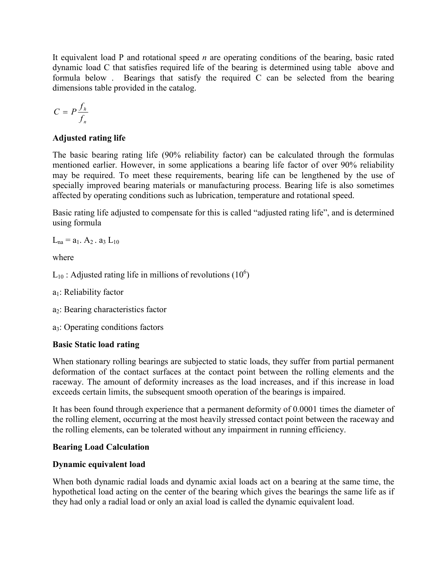It equivalent load P and rotational speed *n* are operating conditions of the bearing, basic rated dynamic load C that satisfies required life of the bearing is determined using table above and formula below . Bearings that satisfy the required C can be selected from the bearing dimensions table provided in the catalog.

$$
C = P \frac{f_h}{f_n}
$$

# **Adjusted rating life**

The basic bearing rating life (90% reliability factor) can be calculated through the formulas mentioned earlier. However, in some applications a bearing life factor of over 90% reliability may be required. To meet these requirements, bearing life can be lengthened by the use of specially improved bearing materials or manufacturing process. Bearing life is also sometimes affected by operating conditions such as lubrication, temperature and rotational speed.

Basic rating life adjusted to compensate for this is called "adjusted rating life", and is determined using formula

 $L_{na} = a_1$ .  $A_2$ .  $a_3$   $L_{10}$ 

where

 $L_{10}$ : Adjusted rating life in millions of revolutions (10<sup>6</sup>)

- $a_1$ : Reliability factor
- $a_2$ : Bearing characteristics factor

a3: Operating conditions factors

# **Basic Static load rating**

When stationary rolling bearings are subjected to static loads, they suffer from partial permanent deformation of the contact surfaces at the contact point between the rolling elements and the raceway. The amount of deformity increases as the load increases, and if this increase in load exceeds certain limits, the subsequent smooth operation of the bearings is impaired.

It has been found through experience that a permanent deformity of 0.0001 times the diameter of the rolling element, occurring at the most heavily stressed contact point between the raceway and the rolling elements, can be tolerated without any impairment in running efficiency.

# **Bearing Load Calculation**

# **Dynamic equivalent load**

When both dynamic radial loads and dynamic axial loads act on a bearing at the same time, the hypothetical load acting on the center of the bearing which gives the bearings the same life as if they had only a radial load or only an axial load is called the dynamic equivalent load.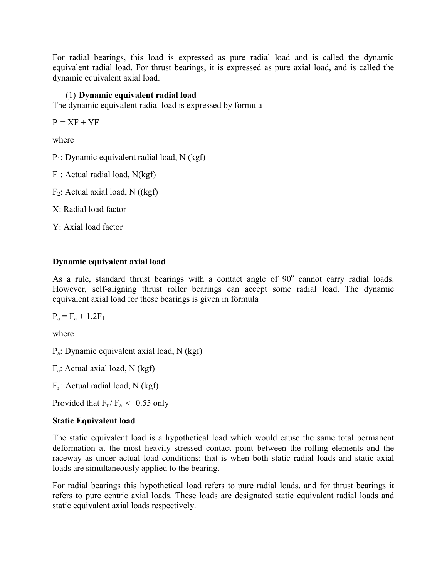For radial bearings, this load is expressed as pure radial load and is called the dynamic equivalent radial load. For thrust bearings, it is expressed as pure axial load, and is called the dynamic equivalent axial load.

# (1) **Dynamic equivalent radial load**

The dynamic equivalent radial load is expressed by formula

 $P_1 = XF + YF$ 

where

P1: Dynamic equivalent radial load, N (kgf)

 $F_1$ : Actual radial load, N(kgf)

 $F_2$ : Actual axial load, N ((kgf)

X: Radial load factor

Y: Axial load factor

# **Dynamic equivalent axial load**

As a rule, standard thrust bearings with a contact angle of  $90^\circ$  cannot carry radial loads. However, self-aligning thrust roller bearings can accept some radial load. The dynamic equivalent axial load for these bearings is given in formula

 $P_a = F_a + 1.2F_1$ 

where

Pa: Dynamic equivalent axial load, N (kgf)

Fa: Actual axial load, N (kgf)

 $F_r$ : Actual radial load, N (kgf)

Provided that  $F_r / F_a \leq 0.55$  only

# **Static Equivalent load**

The static equivalent load is a hypothetical load which would cause the same total permanent deformation at the most heavily stressed contact point between the rolling elements and the raceway as under actual load conditions; that is when both static radial loads and static axial loads are simultaneously applied to the bearing.

For radial bearings this hypothetical load refers to pure radial loads, and for thrust bearings it refers to pure centric axial loads. These loads are designated static equivalent radial loads and static equivalent axial loads respectively.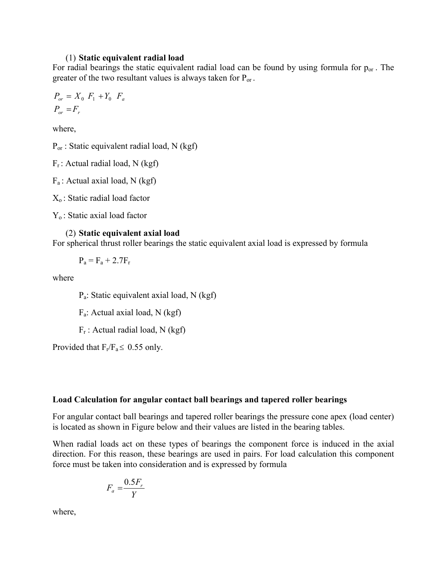#### (1) **Static equivalent radial load**

For radial bearings the static equivalent radial load can be found by using formula for  $p_{or}$ . The greater of the two resultant values is always taken for  $P_{or}$ .

$$
P_{or} = X_0 F_1 + Y_0 F_a
$$
  

$$
P_{or} = F_r
$$

where,

 $P_{or}$ : Static equivalent radial load, N (kgf)

 $F_r$ : Actual radial load, N (kgf)

 $F_a$ : Actual axial load, N (kgf)

 $X<sub>o</sub>$ : Static radial load factor

 $Y_0$ : Static axial load factor

### (2) **Static equivalent axial load**

For spherical thrust roller bearings the static equivalent axial load is expressed by formula

 $P_a = F_a + 2.7F_r$ 

where

Pa: Static equivalent axial load, N (kgf)

Fa: Actual axial load, N (kgf)

 $F_r$ : Actual radial load, N (kgf)

Provided that  $F_r/F_a \leq 0.55$  only.

#### **Load Calculation for angular contact ball bearings and tapered roller bearings**

For angular contact ball bearings and tapered roller bearings the pressure cone apex (load center) is located as shown in Figure below and their values are listed in the bearing tables.

When radial loads act on these types of bearings the component force is induced in the axial direction. For this reason, these bearings are used in pairs. For load calculation this component force must be taken into consideration and is expressed by formula

$$
F_a = \frac{0.5F_r}{Y}
$$

where,